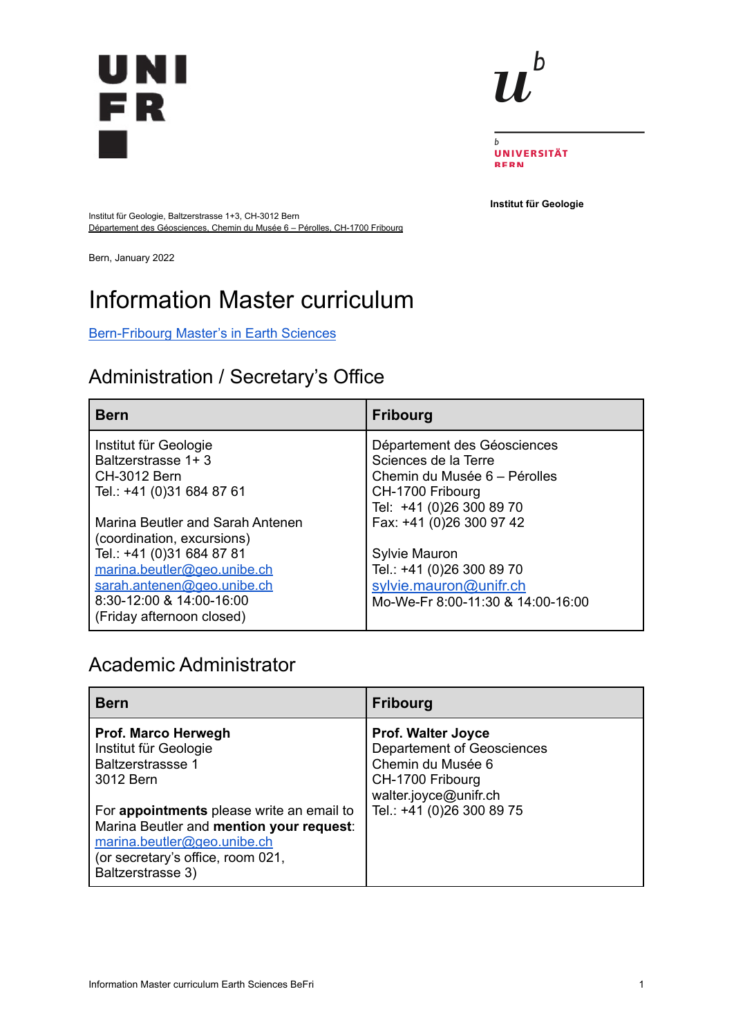



b **UNIVERSITÄT BERN** 

**Institut für Geologie**

Institut für Geologie, Baltzerstrasse 1+3, CH-3012 Bern Département des Géosciences, Chemin du Musée 6 – Pérolles, CH-1700 Fribourg

Bern, January 2022

# Information Master curriculum

#### [Bern-Fribourg](https://earth-science-master.unibe.ch/) Master's in Earth Sciences

### Administration / Secretary's Office

| <b>Bern</b>                                                                                                                                                                                                       | <b>Fribourg</b>                                                                                                                       |
|-------------------------------------------------------------------------------------------------------------------------------------------------------------------------------------------------------------------|---------------------------------------------------------------------------------------------------------------------------------------|
| Institut für Geologie<br>Baltzerstrasse 1+3<br><b>CH-3012 Bern</b><br>Tel.: +41 (0)31 684 87 61                                                                                                                   | Département des Géosciences<br>Sciences de la Terre<br>Chemin du Musée 6 - Pérolles<br>CH-1700 Fribourg<br>Tel: +41 (0)26 300 89 70   |
| Marina Beutler and Sarah Antenen<br>(coordination, excursions)<br>Tel.: +41 (0)31 684 87 81<br>marina.beutler@geo.unibe.ch<br>sarah.antenen@geo.unibe.ch<br>8:30-12:00 & 14:00-16:00<br>(Friday afternoon closed) | Fax: +41 (0)26 300 97 42<br>Sylvie Mauron<br>Tel.: +41 (0)26 300 89 70<br>sylvie.mauron@unifr.ch<br>Mo-We-Fr 8:00-11:30 & 14:00-16:00 |

#### Academic Administrator

| <b>Bern</b>                                                                                                                                                                                                                                                             | <b>Fribourg</b>                                                                                                                                               |
|-------------------------------------------------------------------------------------------------------------------------------------------------------------------------------------------------------------------------------------------------------------------------|---------------------------------------------------------------------------------------------------------------------------------------------------------------|
| Prof. Marco Herwegh<br>Institut für Geologie<br><b>Baltzerstrassse 1</b><br>3012 Bern<br>For appointments please write an email to<br>Marina Beutler and mention your request:<br>marina.beutler@geo.unibe.ch<br>(or secretary's office, room 021,<br>Baltzerstrasse 3) | <b>Prof. Walter Joyce</b><br><b>Departement of Geosciences</b><br>Chemin du Musée 6<br>CH-1700 Fribourg<br>walter.joyce@unifr.ch<br>Tel.: +41 (0)26 300 89 75 |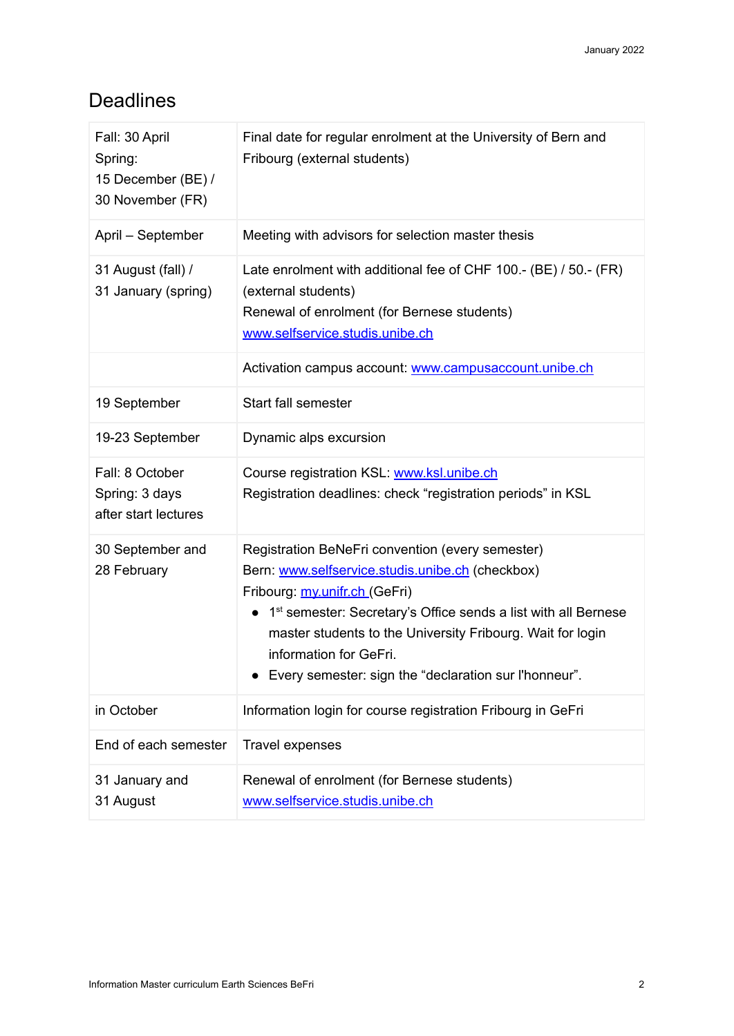### Deadlines

| Fall: 30 April<br>Spring:<br>15 December (BE) /<br>30 November (FR) | Final date for regular enrolment at the University of Bern and<br>Fribourg (external students)                                                                                                                                                                                                                                                                                    |
|---------------------------------------------------------------------|-----------------------------------------------------------------------------------------------------------------------------------------------------------------------------------------------------------------------------------------------------------------------------------------------------------------------------------------------------------------------------------|
| April - September                                                   | Meeting with advisors for selection master thesis                                                                                                                                                                                                                                                                                                                                 |
| 31 August (fall) /<br>31 January (spring)                           | Late enrolment with additional fee of CHF 100.- (BE) / 50.- (FR)<br>(external students)<br>Renewal of enrolment (for Bernese students)<br>www.selfservice.studis.unibe.ch                                                                                                                                                                                                         |
|                                                                     | Activation campus account: www.campusaccount.unibe.ch                                                                                                                                                                                                                                                                                                                             |
| 19 September                                                        | Start fall semester                                                                                                                                                                                                                                                                                                                                                               |
| 19-23 September                                                     | Dynamic alps excursion                                                                                                                                                                                                                                                                                                                                                            |
| Fall: 8 October<br>Spring: 3 days<br>after start lectures           | Course registration KSL: www.ksl.unibe.ch<br>Registration deadlines: check "registration periods" in KSL                                                                                                                                                                                                                                                                          |
| 30 September and<br>28 February                                     | Registration BeNeFri convention (every semester)<br>Bern: www.selfservice.studis.unibe.ch (checkbox)<br>Fribourg: my.unifr.ch (GeFri)<br>1 <sup>st</sup> semester: Secretary's Office sends a list with all Bernese<br>$\bullet$<br>master students to the University Fribourg. Wait for login<br>information for GeFri.<br>Every semester: sign the "declaration sur l'honneur". |
| in October                                                          | Information login for course registration Fribourg in GeFri                                                                                                                                                                                                                                                                                                                       |
| End of each semester                                                | Travel expenses                                                                                                                                                                                                                                                                                                                                                                   |
| 31 January and<br>31 August                                         | Renewal of enrolment (for Bernese students)<br>www.selfservice.studis.unibe.ch                                                                                                                                                                                                                                                                                                    |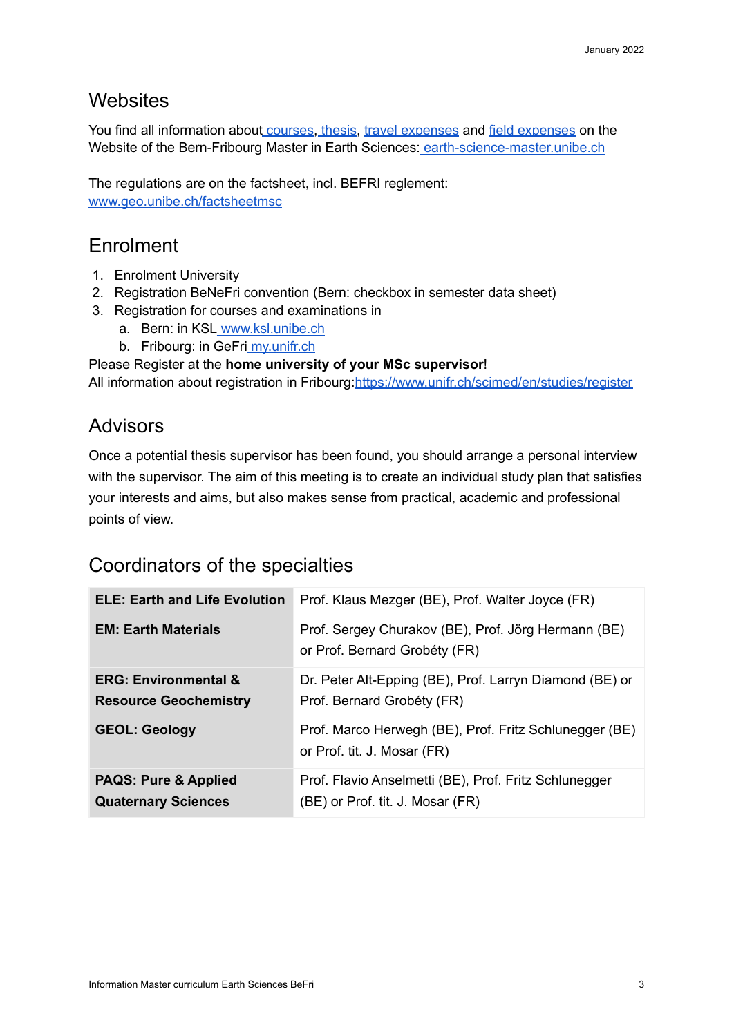#### **Websites**

You find all information about [courses,](https://earth-science-master.unibe.ch/?page_id=71) [thesis,](https://earth-science-master.unibe.ch/?page_id=321) travel [expenses](https://www.unibe.ch/e1006/e251033/e648365/BeNeFri-Rueckerstattung_ger.pdf) and field [expenses](https://earth-science-master.unibe.ch/content_dw/pages/dateien/BeFri_Master_Field_Expenses.pdf) on the Website of the Bern-Fribourg Master in Earth Sciences: [earth-science-master.unibe.ch](http://earth-science-master.unibe.ch/)

The regulations are on the factsheet, incl. BEFRI reglement[:](http://www.geo.unibe.ch/factsheetmsc) [www.geo.unibe.ch/factsheetmsc](http://www.geo.unibe.ch/factsheetmsc)

### Enrolment

- 1. Enrolment University
- 2. Registration BeNeFri convention (Bern: checkbox in semester data sheet)
- 3. Registration for courses and examinations in
	- a. Bern: in KSL [www.ksl.unibe.ch](http://www.ksl.unibe.ch)
	- b. Fribourg: in GeFri [my.unifr.ch](http://my.unifr.ch/)

Please Register at the **home university of your MSc supervisor**!

All information about registration in Fribourg[:https://www.unifr.ch/scimed/en/studies/register](https://www.unifr.ch/scimed/en/studies/register)

#### Advisors

Once a potential thesis supervisor has been found, you should arrange a personal interview with the supervisor. The aim of this meeting is to create an individual study plan that satisfies your interests and aims, but also makes sense from practical, academic and professional points of view.

### Coordinators of the specialties

| <b>ELE: Earth and Life Evolution</b>                            | Prof. Klaus Mezger (BE), Prof. Walter Joyce (FR)                                          |
|-----------------------------------------------------------------|-------------------------------------------------------------------------------------------|
| <b>EM: Earth Materials</b>                                      | Prof. Sergey Churakov (BE), Prof. Jörg Hermann (BE)<br>or Prof. Bernard Grobéty (FR)      |
| <b>ERG: Environmental &amp;</b><br><b>Resource Geochemistry</b> | Dr. Peter Alt-Epping (BE), Prof. Larryn Diamond (BE) or<br>Prof. Bernard Grobéty (FR)     |
| <b>GEOL: Geology</b>                                            | Prof. Marco Herwegh (BE), Prof. Fritz Schlunegger (BE)<br>or Prof. tit. J. Mosar (FR)     |
| <b>PAQS: Pure &amp; Applied</b><br><b>Quaternary Sciences</b>   | Prof. Flavio Anselmetti (BE), Prof. Fritz Schlunegger<br>(BE) or Prof. tit. J. Mosar (FR) |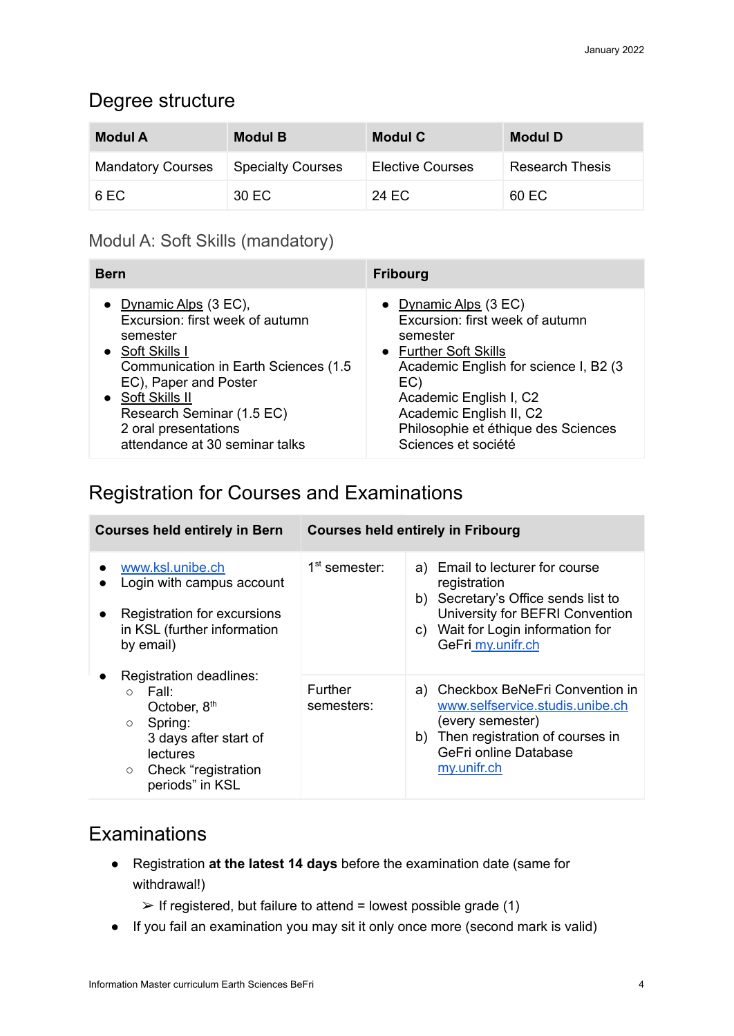#### Degree structure

| <b>Modul A</b>           | <b>Modul B</b>           | <b>Modul C</b>          | <b>Modul D</b>         |
|--------------------------|--------------------------|-------------------------|------------------------|
| <b>Mandatory Courses</b> | <b>Specialty Courses</b> | <b>Elective Courses</b> | <b>Research Thesis</b> |
| 6 EC                     | 30 EC                    | 24 EC                   | 60 EC                  |

#### Modul A: Soft Skills (mandatory)

| <b>Bern</b>                          | <b>Fribourg</b>                        |
|--------------------------------------|----------------------------------------|
| • Dynamic Alps $(3 EC)$ ,            | • Dynamic Alps $(3 EC)$                |
| Excursion: first week of autumn      | Excursion: first week of autumn        |
| semester                             | semester                               |
| • Soft Skills I                      | • Further Soft Skills                  |
| Communication in Earth Sciences (1.5 | Academic English for science I, B2 (3) |
| EC), Paper and Poster                | EC)                                    |
| • Soft Skills II                     | Academic English I, C2                 |
| Research Seminar (1.5 EC)            | Academic English II, C2                |
| 2 oral presentations                 | Philosophie et éthique des Sciences    |
| attendance at 30 seminar talks       | Sciences et société                    |

### Registration for Courses and Examinations

| <b>Courses held entirely in Bern</b>                                                                                                                                                     | <b>Courses held entirely in Fribourg</b> |                                                                                                                                                                                     |
|------------------------------------------------------------------------------------------------------------------------------------------------------------------------------------------|------------------------------------------|-------------------------------------------------------------------------------------------------------------------------------------------------------------------------------------|
| www.ksl.unibe.ch<br>Login with campus account<br>Registration for excursions<br>in KSL (further information<br>by email)                                                                 | 1 <sup>st</sup> semester:                | a) Email to lecturer for course<br>registration<br>b) Secretary's Office sends list to<br>University for BEFRI Convention<br>c) Wait for Login information for<br>GeFri_my.unifr.ch |
| Registration deadlines:<br>Fall:<br>$\circ$<br>October, 8 <sup>th</sup><br>Spring:<br>$\circ$<br>3 days after start of<br>lectures<br>Check "registration"<br>$\circ$<br>periods" in KSL | Further<br>semesters:                    | a) Checkbox BeNeFri Convention in<br>www.selfservice.studis.unibe.ch<br>(every semester)<br>b) Then registration of courses in<br>GeFri online Database<br>my.unifr.ch              |

### **Examinations**

- Registration **at the latest 14 days** before the examination date (same for withdrawal!)
	- $\triangleright$  If registered, but failure to attend = lowest possible grade (1)
- If you fail an examination you may sit it only once more (second mark is valid)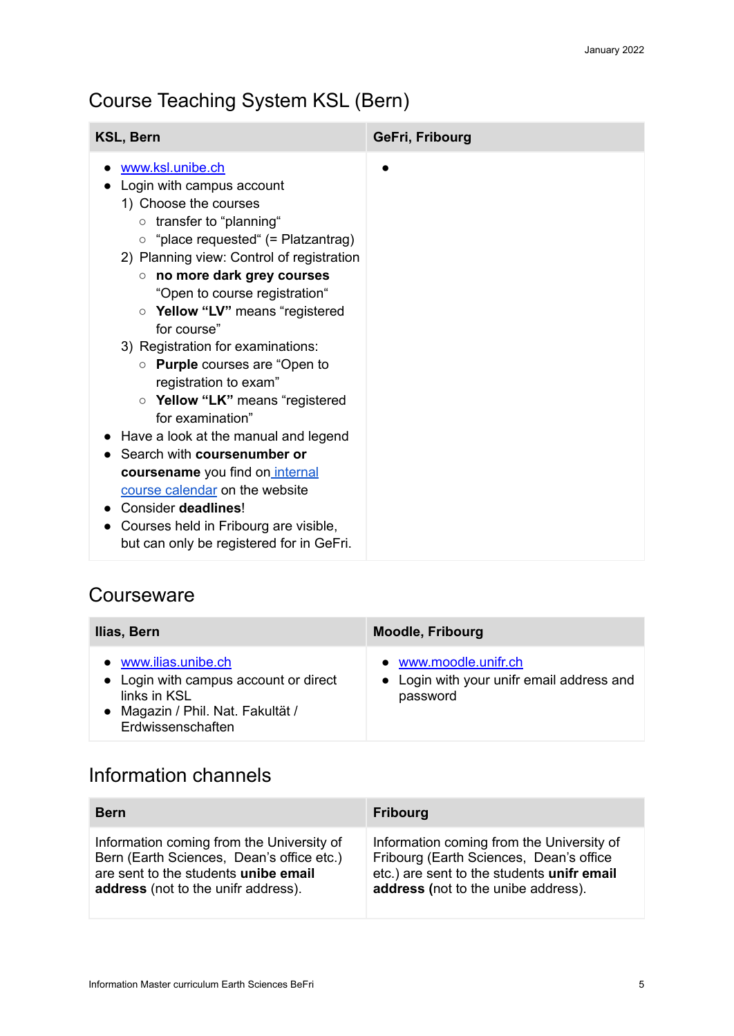## Course Teaching System KSL (Bern)

| <b>KSL, Bern</b>                                                                                                                                                                                                                                                                                                                                                                                                                                                                                                                                                                                                                                                                          | GeFri, Fribourg |
|-------------------------------------------------------------------------------------------------------------------------------------------------------------------------------------------------------------------------------------------------------------------------------------------------------------------------------------------------------------------------------------------------------------------------------------------------------------------------------------------------------------------------------------------------------------------------------------------------------------------------------------------------------------------------------------------|-----------------|
| www.ksl.unibe.ch<br>Login with campus account<br>1) Choose the courses<br>o transfer to "planning"<br>$\circ$ "place requested" (= Platzantrag)<br>2) Planning view: Control of registration<br>no more dark grey courses<br>$\circ$<br>"Open to course registration"<br>○ Yellow "LV" means "registered<br>for course"<br>3) Registration for examinations:<br>o Purple courses are "Open to<br>registration to exam"<br>○ Yellow "LK" means "registered<br>for examination"<br>Have a look at the manual and legend<br>Search with coursenumber or<br>coursename you find on internal<br>course calendar on the website<br>Consider deadlines!<br>Courses held in Fribourg are visible, |                 |
| but can only be registered for in GeFri.                                                                                                                                                                                                                                                                                                                                                                                                                                                                                                                                                                                                                                                  |                 |

#### **Courseware**

| Ilias, Bern                                                                                                                             | <b>Moodle, Fribourg</b>                                                        |
|-----------------------------------------------------------------------------------------------------------------------------------------|--------------------------------------------------------------------------------|
| • www.ilias.unibe.ch<br>• Login with campus account or direct<br>links in KSL<br>• Magazin / Phil. Nat. Fakultät /<br>Erdwissenschaften | • www.moodle.unifr.ch<br>• Login with your unifr email address and<br>password |

### Information channels

| <b>Bern</b>                               | <b>Fribourg</b>                            |
|-------------------------------------------|--------------------------------------------|
| Information coming from the University of | Information coming from the University of  |
| Bern (Earth Sciences, Dean's office etc.) | Fribourg (Earth Sciences, Dean's office    |
| are sent to the students unibe email      | etc.) are sent to the students unifr email |
| address (not to the unifr address).       | address (not to the unibe address).        |